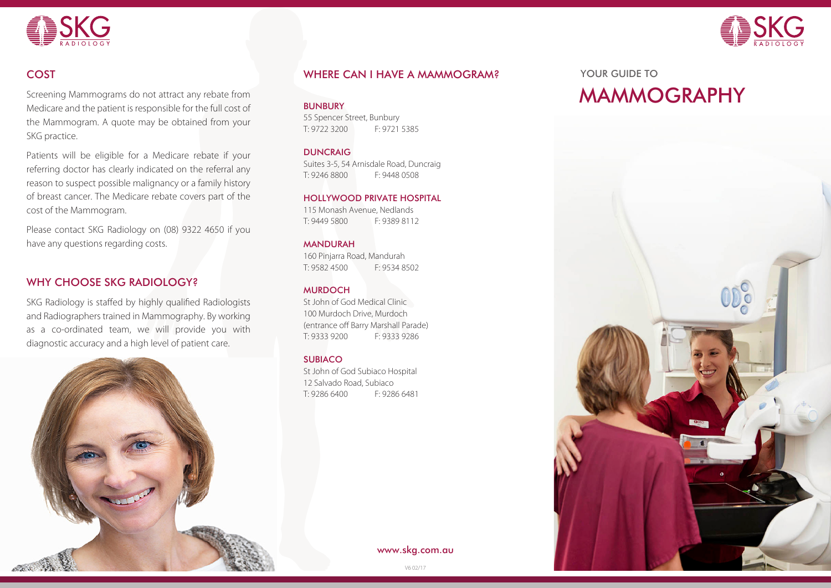



Screening Mammograms do not attract any rebate from Medicare and the patient is responsible for the full cost of the Mammogram. A quote may be obtained from your SKG practice.

Patients will be eligible for a Medicare rebate if your referring doctor has clearly indicated on the referral any reason to suspect possible malignancy or a family history of breast cancer. The Medicare rebate covers part of the cost of the Mammogram.

Please contact SKG Radiology on (08) 9322 4650 if you have any questions regarding costs.

# WHY CHOOSE SKG RADIOLOGY?

SKG Radiology is staffed by highly qualified Radiologists and Radiographers trained in Mammography. By working as a co-ordinated team, we will provide you with diagnostic accuracy and a high level of patient care.



### COST EXAMPLE TO ME A MANUSCRAM WHERE CAN I HAVE A MAMMOGRAM? THE STATE OF TO THE TO

BUNBURY

55 Spencer Street, Bunbury T: 9722 3200 F: 9721 5385

**DUNCRAIG** 

Suites 3-5, 54 Arnisdale Road, Duncraig T: 9246 8800 F: 9448 0508

### HOLLYWOOD PRIVATE HOSPITAL

115 Monash Avenue, Nedlands T: 9449 5800 F: 9389 8112

### MANDURAH

160 Pinjarra Road, Mandurah T: 9582 4500 F: 9534 8502

### **MURDOCH**

St John of God Medical Clinic 100 Murdoch Drive, Murdoch (entrance off Barry Marshall Parade) T: 9333 9200 F: 9333 9286

### SUBIACO

St John of God Subiaco Hospital 12 Salvado Road, Subiaco T: 9286 6400 F: 9286 6481

www.skg.com.au

# MAMMOGRAPHY